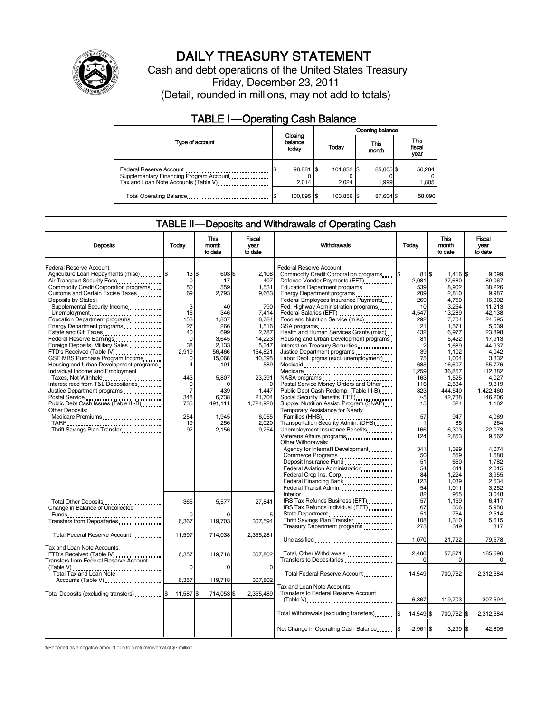

# DAILY TREASURY STATEMENT

Cash and debt operations of the United States Treasury Friday, December 23, 2011 (Detail, rounded in millions, may not add to totals)

| <b>TABLE I-Operating Cash Balance</b>                                                                      |                             |                    |                 |                        |  |                   |                               |                 |
|------------------------------------------------------------------------------------------------------------|-----------------------------|--------------------|-----------------|------------------------|--|-------------------|-------------------------------|-----------------|
|                                                                                                            | Closing<br>balance<br>today |                    | Opening balance |                        |  |                   |                               |                 |
| Type of account                                                                                            |                             |                    |                 | This<br>Today<br>month |  |                   | <b>This</b><br>fiscal<br>year |                 |
| Federal Reserve Account<br>Supplementary Financing Program Account<br>Tax and Loan Note Accounts (Table V) |                             | 98,881 \$<br>2,014 |                 | 101,832 \$<br>2.024    |  | 85,605\$<br>1,999 |                               | 56,284<br>1,805 |
| Total Operating Balance                                                                                    |                             | 100,895 \$         |                 | 103.856 \$             |  | 87.604 \$         |                               | 58.090          |

# TABLE II-Deposits and Withdrawals of Operating Cash

| <b>Deposits</b>                         | Today          | <b>This</b><br>month<br>to date | Fiscal<br>vear<br>to date | Withdrawals                                                              | Today          | <b>This</b><br>month<br>to date | Fiscal<br>year<br>to date |
|-----------------------------------------|----------------|---------------------------------|---------------------------|--------------------------------------------------------------------------|----------------|---------------------------------|---------------------------|
|                                         |                |                                 |                           |                                                                          |                |                                 |                           |
| <b>Federal Reserve Account:</b>         |                |                                 |                           | Federal Reserve Account:                                                 |                |                                 |                           |
| Agriculture Loan Repayments (misc) \$   | 13S            | 603 \$                          | 2.108                     | Commodity Credit Corporation programs                                    | $81$ S<br>I\$  | 1,416 \$                        | 9.099                     |
| Air Transport Security Fees             | $\mathbf 0$    | 17                              | 407                       | Defense Vendor Payments (EFT)                                            | 2.081          | 27.680                          | 89.067                    |
| Commodity Credit Corporation programs   | 50             | 559                             | 1,531                     | Education Department programs                                            | 539            | 8,902                           | 38,226                    |
| Customs and Certain Excise Taxes        | 69             | 2,793                           | 9,663                     | Energy Department programs                                               | 209            | 2,810                           | 9,987                     |
| Deposits by States:                     |                |                                 |                           | Federal Employees Insurance Payments                                     | 269            | 4.750                           | 16.302                    |
| Supplemental Security Income            | 3              | 40                              | 790                       | Fed. Highway Administration programs                                     | 10             | 3,254                           | 11,213                    |
| Unemployment                            | 16             | 346                             | 7,414                     | Federal Salaries (EFT)<br>Federal Salaries (EFT)                         | 4,547          | 13,289                          | 42.138                    |
| Education Department programs           | 153            | 1.837                           | 6.784                     | Food and Nutrition Service (misc)                                        | 292            | 7,704                           | 24.595                    |
| Energy Department programs              | 27             | 266                             | 1,516                     | GSA programs                                                             | 21             | 1,571                           | 5,039                     |
| Estate and Gift Taxes                   | 40             | 699                             | 2,787                     | Health and Human Services Grants (misc)                                  | 432            | 6,977                           | 23,898                    |
| Federal Reserve Earnings                | $\mathbf 0$    | 3,645                           | 14,223                    | Housing and Urban Development programs                                   | 81             | 5,422                           | 17.913                    |
| Foreign Deposits, Military Sales        | 38             | 2,133                           | 5,347                     | Interest on Treasury Securities                                          | $\overline{2}$ | 1,689                           | 44.937                    |
| FTD's Received (Table IV)               | 2,919          | 56,466                          | 154,821                   | Justice Department programs<br>                                          | 39             | 1,102                           | 4.042                     |
| GSE MBS Purchase Program Income         | $\Omega$       | 15,068                          | 40,395                    | Labor Dept. prgms (excl. unemployment)                                   | 75             | 1,004                           | 3.332                     |
| Housing and Urban Development programs  | 4              | 191                             | 589                       | Medicaid                                                                 | 685            | 16,607                          | 55,776                    |
| Individual Income and Employment        |                |                                 |                           | Medicare                                                                 | 1.259          | 36.867                          | 112.382                   |
| Taxes, Not Withheld                     | 443            | 5,807                           | 23,391                    | NASA programs<br>Postal Service Money Orders and Other                   | 163            | 1,525                           | 4.027                     |
| Interest recd from T&L Depositaries     | $\mathbf 0$    |                                 | $\Omega$                  |                                                                          | 116            | 2,534                           | 9,319                     |
| Justice Department programs             | $\overline{7}$ | 439                             | 1.447                     | Public Debt Cash Redemp. (Table III-B)                                   | 823            | 444.540                         | 1.422.460                 |
| Postal Service                          | 348            | 6,738                           | 21,704                    | Social Security Benefits (EFT)                                           | $1/-5$         | 42,738                          | 146,206                   |
| Public Debt Cash Issues (Table III-B)   | 735            | 491,111                         | 1,724,926                 | Supple. Nutrition Assist. Program (SNAP)                                 | 15             | 324                             | 1,162                     |
| <b>Other Deposits:</b>                  |                |                                 |                           | Temporary Assistance for Needy                                           |                |                                 |                           |
| Medicare Premiums                       | 254            | 1.945                           | 6.055                     | Families (HHS)<br>Transportation Security Admin. (DHS)                   | 57             | 947                             | 4.069                     |
|                                         | 19             | 256                             | 2,020                     |                                                                          | $\mathbf{1}$   | 85                              | 264                       |
| Thrift Savings Plan Transfer            | 92             | 2,156                           | 9,254                     | Unemployment Insurance Benefits                                          | 166            | 6,303                           | 22,073                    |
|                                         |                |                                 |                           | Veterans Affairs programs                                                | 124            | 2,853                           | 9.562                     |
|                                         |                |                                 |                           | Other Withdrawals:                                                       |                |                                 |                           |
|                                         |                |                                 |                           | Agency for Internat'l Development                                        | 341            | 1,329                           | 4,074                     |
|                                         |                |                                 |                           | Commerce Programs                                                        | 50             | 559                             | 1.680                     |
|                                         |                |                                 |                           | Deposit Insurance Fund                                                   | 51             | 660                             | 1,782                     |
|                                         |                |                                 |                           | Federal Aviation Administration                                          | 54             | 641                             | 2,015                     |
|                                         |                |                                 |                           | Federal Crop Ins. Corp                                                   | 84             | 1,224                           | 3,955                     |
|                                         |                |                                 |                           |                                                                          | 123            | 1,039                           | 2,534                     |
|                                         |                |                                 |                           | Federal Transit Admin.                                                   | 54             | 1,011                           | 3,252                     |
|                                         |                |                                 |                           |                                                                          | 82             | 955                             | 3.048                     |
| Total Other Deposits                    | 365            | 5,577                           | 27,841                    | IRS Tax Refunds Business (EFT) [100]                                     | 57             | 1,159                           | 6,417                     |
| Change in Balance of Uncollected        |                |                                 |                           | IRS Tax Refunds Individual (EFT)                                         | 67             | 306                             | 5.950                     |
| Funds                                   | $\Omega$       |                                 | 5                         | State Department                                                         | 51             | 764                             | 2,514                     |
| Transfers from Depositaries             | 6,367          | 119,703                         | 307,594                   | Thrift Savings Plan Transfer                                             | 108<br>273     | 1,310<br>349                    | 5,615<br>817              |
|                                         |                |                                 |                           | Treasury Department programs                                             |                |                                 |                           |
| Total Federal Reserve Account           | 11.597         | 714.038                         | 2,355,281                 |                                                                          |                |                                 |                           |
|                                         |                |                                 |                           | Unclassified                                                             | 1,070          | 21,722                          | 79,578                    |
| Tax and Loan Note Accounts:             |                |                                 |                           |                                                                          |                |                                 |                           |
| FTD's Received (Table IV)               | 6,357          | 119,718                         | 307,802                   | Total, Other Withdrawals                                                 | 2,466          | 57,871                          | 185,596                   |
| Transfers from Federal Reserve Account  |                |                                 |                           | Transfers to Depositaries<br>xisters in the contract of the Depositaries | 0              | 0                               | 0                         |
| (Table V)<br>Total Tax and Loan Note    | 0              | $\Omega$                        | $\mathbf 0$               |                                                                          |                |                                 |                           |
|                                         |                |                                 |                           | Total Federal Reserve Account                                            | 14,549         | 700,762                         | 2,312,684                 |
| Accounts (Table V)                      | 6,357          | 119,718                         | 307,802                   |                                                                          |                |                                 |                           |
|                                         |                |                                 |                           | Tax and Loan Note Accounts:                                              |                |                                 |                           |
| Total Deposits (excluding transfers) \$ | 11,587         | 714,053 \$<br>\$.               | 2.355.489                 | Transfers to Federal Reserve Account                                     |                |                                 |                           |
|                                         |                |                                 |                           | $(Table V)$                                                              | 6,367          | 119,703                         | 307,594                   |
|                                         |                |                                 |                           |                                                                          |                |                                 |                           |
|                                         |                |                                 |                           | Total Withdrawals (excluding transfers)                                  | 14,549 \$      | 700.762 \$                      | 2,312,684                 |
|                                         |                |                                 |                           |                                                                          |                |                                 |                           |
|                                         |                |                                 |                           | Net Change in Operating Cash Balance                                     | $-2,961$ \$    | 13,290 \$                       | 42.805                    |
|                                         |                |                                 |                           |                                                                          |                |                                 |                           |

1/Reported as a negative amount due to a return/reversal of \$7 million.